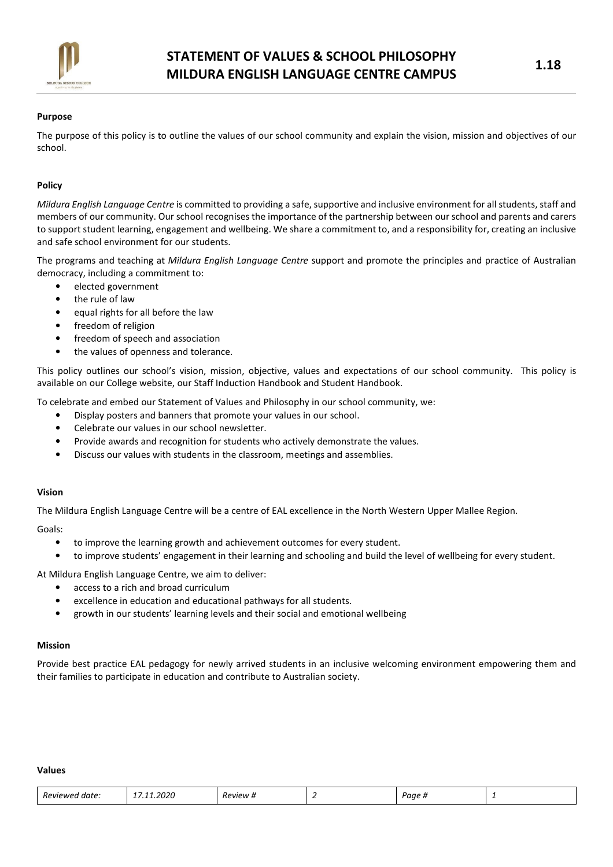

# Purpose

The purpose of this policy is to outline the values of our school community and explain the vision, mission and objectives of our school.

# Policy

Mildura English Language Centre is committed to providing a safe, supportive and inclusive environment for all students, staff and members of our community. Our school recognises the importance of the partnership between our school and parents and carers to support student learning, engagement and wellbeing. We share a commitment to, and a responsibility for, creating an inclusive and safe school environment for our students.

The programs and teaching at Mildura English Language Centre support and promote the principles and practice of Australian democracy, including a commitment to:

- elected government
- the rule of law
- equal rights for all before the law
- freedom of religion
- freedom of speech and association
- the values of openness and tolerance.

This policy outlines our school's vision, mission, objective, values and expectations of our school community. This policy is available on our College website, our Staff Induction Handbook and Student Handbook.

To celebrate and embed our Statement of Values and Philosophy in our school community, we:

- Display posters and banners that promote your values in our school.
- Celebrate our values in our school newsletter.
- Provide awards and recognition for students who actively demonstrate the values.
- Discuss our values with students in the classroom, meetings and assemblies.

### Vision

The Mildura English Language Centre will be a centre of EAL excellence in the North Western Upper Mallee Region.

### Goals:

- to improve the learning growth and achievement outcomes for every student.
- to improve students' engagement in their learning and schooling and build the level of wellbeing for every student.

At Mildura English Language Centre, we aim to deliver:

- access to a rich and broad curriculum
- excellence in education and educational pathways for all students.
- growth in our students' learning levels and their social and emotional wellbeing

### Mission

Provide best practice EAL pedagogy for newly arrived students in an inclusive welcoming environment empowering them and their families to participate in education and contribute to Australian society.

#### Values

|  | I date:<br>Reviewed | 1.2020<br>- | -<br>Review # | -- | Paae <sub>n</sub> |  |
|--|---------------------|-------------|---------------|----|-------------------|--|
|--|---------------------|-------------|---------------|----|-------------------|--|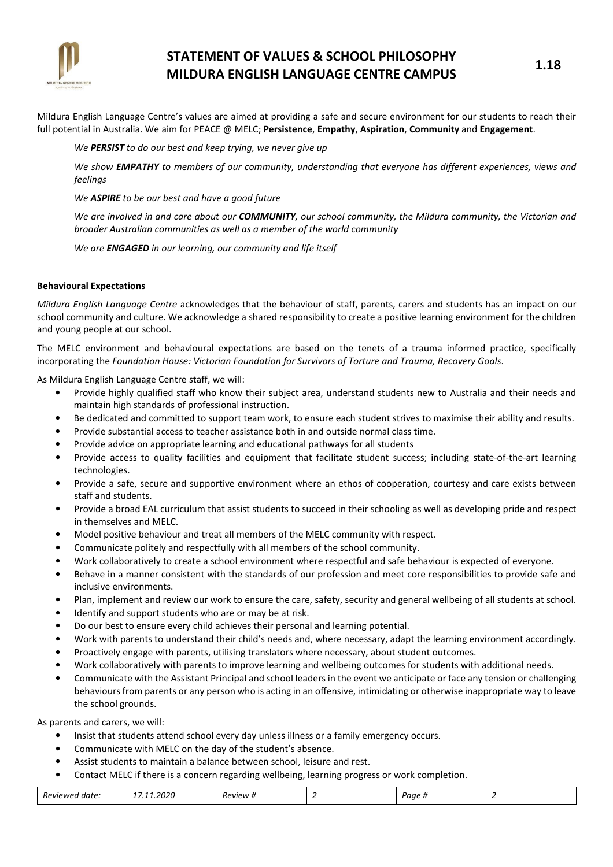

Mildura English Language Centre's values are aimed at providing a safe and secure environment for our students to reach their full potential in Australia. We aim for PEACE @ MELC; Persistence, Empathy, Aspiration, Community and Engagement.

### We PERSIST to do our best and keep trying, we never give up

We show EMPATHY to members of our community, understanding that everyone has different experiences, views and feelings

We **ASPIRE** to be our best and have a good future

We are involved in and care about our COMMUNITY, our school community, the Mildura community, the Victorian and broader Australian communities as well as a member of the world community

We are **ENGAGED** in our learning, our community and life itself

### Behavioural Expectations

Mildura English Language Centre acknowledges that the behaviour of staff, parents, carers and students has an impact on our school community and culture. We acknowledge a shared responsibility to create a positive learning environment for the children and young people at our school.

The MELC environment and behavioural expectations are based on the tenets of a trauma informed practice, specifically incorporating the Foundation House: Victorian Foundation for Survivors of Torture and Trauma, Recovery Goals.

As Mildura English Language Centre staff, we will:

- Provide highly qualified staff who know their subject area, understand students new to Australia and their needs and maintain high standards of professional instruction.
- Be dedicated and committed to support team work, to ensure each student strives to maximise their ability and results.
- Provide substantial access to teacher assistance both in and outside normal class time.
- Provide advice on appropriate learning and educational pathways for all students
- Provide access to quality facilities and equipment that facilitate student success; including state-of-the-art learning technologies.
- Provide a safe, secure and supportive environment where an ethos of cooperation, courtesy and care exists between staff and students.
- Provide a broad EAL curriculum that assist students to succeed in their schooling as well as developing pride and respect in themselves and MELC.
- Model positive behaviour and treat all members of the MELC community with respect.
- Communicate politely and respectfully with all members of the school community.
- Work collaboratively to create a school environment where respectful and safe behaviour is expected of everyone.
- Behave in a manner consistent with the standards of our profession and meet core responsibilities to provide safe and inclusive environments.
- Plan, implement and review our work to ensure the care, safety, security and general wellbeing of all students at school.
- Identify and support students who are or may be at risk.
- Do our best to ensure every child achieves their personal and learning potential.
- Work with parents to understand their child's needs and, where necessary, adapt the learning environment accordingly.
- Proactively engage with parents, utilising translators where necessary, about student outcomes.
- Work collaboratively with parents to improve learning and wellbeing outcomes for students with additional needs.
- Communicate with the Assistant Principal and school leaders in the event we anticipate or face any tension or challenging behaviours from parents or any person who is acting in an offensive, intimidating or otherwise inappropriate way to leave the school grounds.

As parents and carers, we will:

- Insist that students attend school every day unless illness or a family emergency occurs.
- Communicate with MELC on the day of the student's absence.
- Assist students to maintain a balance between school, leisure and rest.
- Contact MELC if there is a concern regarding wellbeing, learning progress or work completion.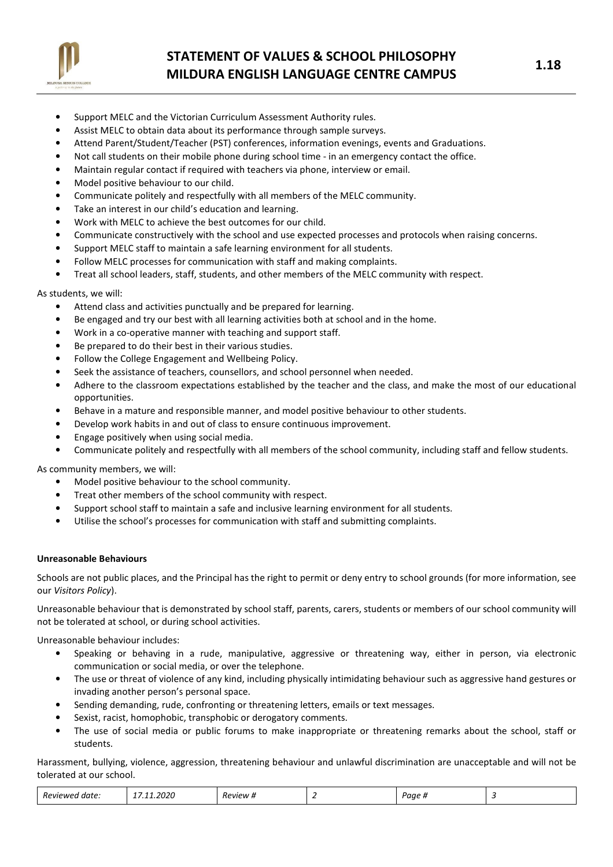

# STATEMENT OF VALUES & SCHOOL PHILOSOPHY MILDURA ENGLISH LANGUAGE CENTRE CAMPUS FOR THE MILDURA ENGLISH LANGUAGE CENTRE CAMPUS

- Support MELC and the Victorian Curriculum Assessment Authority rules.
- Assist MELC to obtain data about its performance through sample surveys.
- Attend Parent/Student/Teacher (PST) conferences, information evenings, events and Graduations.
- Not call students on their mobile phone during school time in an emergency contact the office.
- Maintain regular contact if required with teachers via phone, interview or email.
- Model positive behaviour to our child.
- Communicate politely and respectfully with all members of the MELC community.
- Take an interest in our child's education and learning.
- Work with MELC to achieve the best outcomes for our child.
- Communicate constructively with the school and use expected processes and protocols when raising concerns.
- Support MELC staff to maintain a safe learning environment for all students.
- Follow MELC processes for communication with staff and making complaints.
- Treat all school leaders, staff, students, and other members of the MELC community with respect.

As students, we will:

- Attend class and activities punctually and be prepared for learning.
- Be engaged and try our best with all learning activities both at school and in the home.
- Work in a co-operative manner with teaching and support staff.
- Be prepared to do their best in their various studies.
- Follow the College Engagement and Wellbeing Policy.
- Seek the assistance of teachers, counsellors, and school personnel when needed.
- Adhere to the classroom expectations established by the teacher and the class, and make the most of our educational opportunities.
- Behave in a mature and responsible manner, and model positive behaviour to other students.
- Develop work habits in and out of class to ensure continuous improvement.
- Engage positively when using social media.
- Communicate politely and respectfully with all members of the school community, including staff and fellow students.

As community members, we will:

- Model positive behaviour to the school community.
- Treat other members of the school community with respect.
- Support school staff to maintain a safe and inclusive learning environment for all students.
- Utilise the school's processes for communication with staff and submitting complaints.

### Unreasonable Behaviours

Schools are not public places, and the Principal has the right to permit or deny entry to school grounds (for more information, see our Visitors Policy).

Unreasonable behaviour that is demonstrated by school staff, parents, carers, students or members of our school community will not be tolerated at school, or during school activities.

Unreasonable behaviour includes:

- Speaking or behaving in a rude, manipulative, aggressive or threatening way, either in person, via electronic communication or social media, or over the telephone.
- The use or threat of violence of any kind, including physically intimidating behaviour such as aggressive hand gestures or invading another person's personal space.
- Sending demanding, rude, confronting or threatening letters, emails or text messages.
- Sexist, racist, homophobic, transphobic or derogatory comments.
- The use of social media or public forums to make inappropriate or threatening remarks about the school, staff or students.

Harassment, bullying, violence, aggression, threatening behaviour and unlawful discrimination are unacceptable and will not be tolerated at our school.

| 020<br>$\overline{\phantom{0}}$<br><b>Review</b><br>Revie<br>⊔ממ<br>aare<br>.<br>. .<br>--<br>. |  |  |  |  |  |  |
|-------------------------------------------------------------------------------------------------|--|--|--|--|--|--|
|-------------------------------------------------------------------------------------------------|--|--|--|--|--|--|